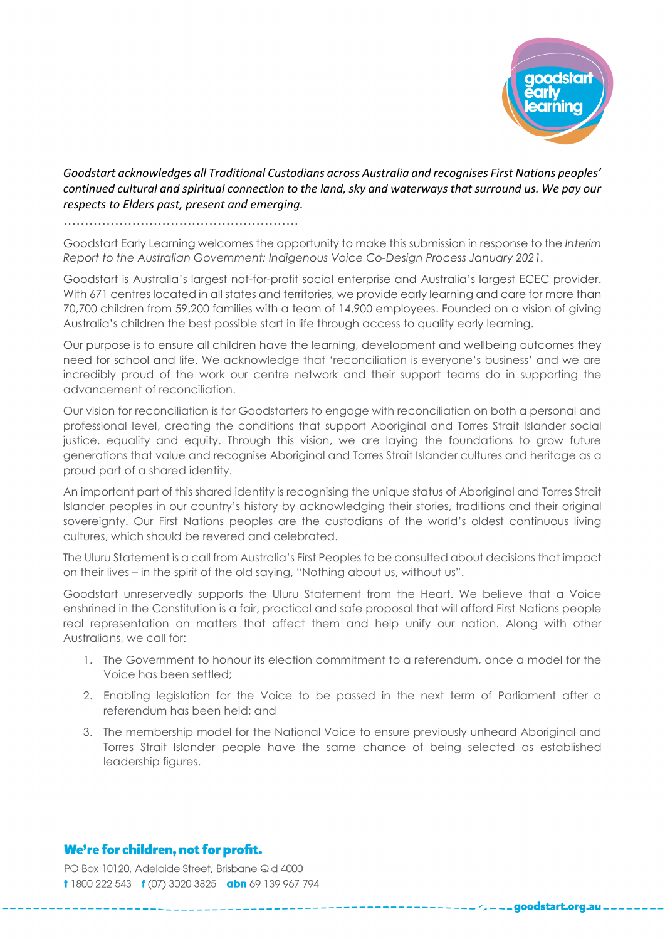

\_goodstart.org.au

*Goodstart acknowledges all Traditional Custodians across Australia and recognises First Nations peoples' continued cultural and spiritual connection to the land, sky and waterways that surround us. We pay our respects to Elders past, present and emerging.*

……………………………………………….

Goodstart Early Learning welcomes the opportunity to make this submission in response to the *Interim Report to the Australian Government: Indigenous Voice Co-Design Process January 2021.* 

Goodstart is Australia's largest not-for-profit social enterprise and Australia's largest ECEC provider. With 671 centres located in all states and territories, we provide early learning and care for more than 70,700 children from 59,200 families with a team of 14,900 employees. Founded on a vision of giving Australia's children the best possible start in life through access to quality early learning.

Our purpose is to ensure all children have the learning, development and wellbeing outcomes they need for school and life. We acknowledge that 'reconciliation is everyone's business' and we are incredibly proud of the work our centre network and their support teams do in supporting the advancement of reconciliation.

Our vision for reconciliation is for Goodstarters to engage with reconciliation on both a personal and professional level, creating the conditions that support Aboriginal and Torres Strait Islander social justice, equality and equity. Through this vision, we are laying the foundations to grow future generations that value and recognise Aboriginal and Torres Strait Islander cultures and heritage as a proud part of a shared identity.

An important part of this shared identity is recognising the unique status of Aboriginal and Torres Strait Islander peoples in our country's history by acknowledging their stories, traditions and their original sovereignty. Our First Nations peoples are the custodians of the world's oldest continuous living cultures, which should be revered and celebrated.

The Uluru Statement is a call from Australia's First Peoples to be consulted about decisions that impact on their lives – in the spirit of the old saying, "Nothing about us, without us".

Goodstart unreservedly supports the Uluru Statement from the Heart. We believe that a Voice enshrined in the Constitution is a fair, practical and safe proposal that will afford First Nations people real representation on matters that affect them and help unify our nation. Along with other Australians, we call for:

- 1. The Government to honour its election commitment to a referendum, once a model for the Voice has been settled;
- 2. Enabling legislation for the Voice to be passed in the next term of Parliament after a referendum has been held; and
- 3. The membership model for the National Voice to ensure previously unheard Aboriginal and Torres Strait Islander people have the same chance of being selected as established leadership figures.

## We're for children, not for profit.

PO Box 10120, Adelaide Street, Brisbane Qld 4000 t 1800 222 543 t (07) 3020 3825 abn 69 139 967 794